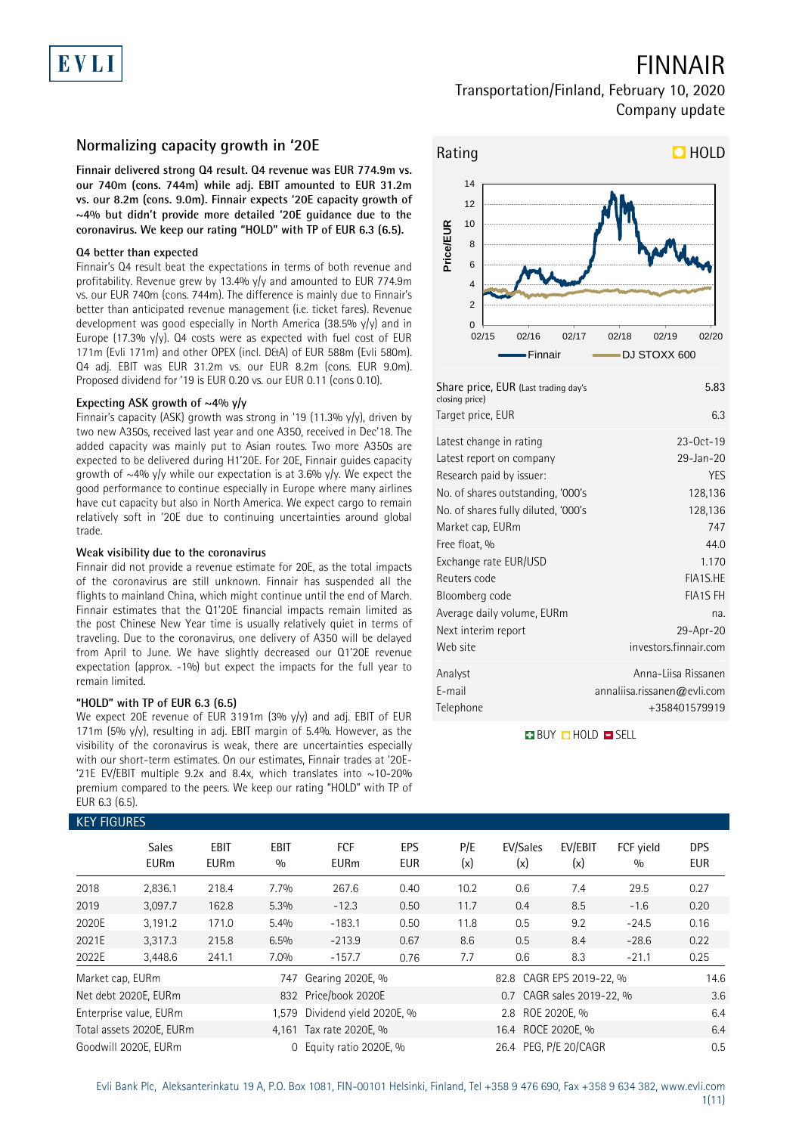# EVL

# FINNAIR

## Transportation/Finland, February 10, 2020 Company update

## **Normalizing capacity growth in '20E**

**Finnair delivered strong Q4 result. Q4 revenue was EUR 774.9m vs. our 740m (cons. 744m) while adj. EBIT amounted to EUR 31.2m vs. our 8.2m (cons. 9.0m). Finnair expects '20E capacity growth of ~4% but didn't provide more detailed '20E guidance due to the coronavirus. We keep our rating "HOLD" with TP of EUR 6.3 (6.5).** 

### **Q4 better than expected**

Finnair's Q4 result beat the expectations in terms of both revenue and profitability. Revenue grew by 13.4% y/y and amounted to EUR 774.9m vs. our EUR 740m (cons. 744m). The difference is mainly due to Finnair's better than anticipated revenue management (i.e. ticket fares). Revenue development was good especially in North America (38.5%  $y/y$ ) and in Europe (17.3%  $y/y$ ). Q4 costs were as expected with fuel cost of EUR 171m (Evli 171m) and other OPEX (incl. D&A) of EUR 588m (Evli 580m). Q4 adj. EBIT was EUR 31.2m vs. our EUR 8.2m (cons. EUR 9.0m). Proposed dividend for '19 is EUR 0.20 vs. our EUR 0.11 (cons 0.10).

### **Expecting ASK growth of ~4% y/y**

Finnair's capacity (ASK) growth was strong in '19 (11.3% y/y), driven by two new A350s, received last year and one A350, received in Dec'18. The added capacity was mainly put to Asian routes. Two more A350s are expected to be delivered during H1'20E. For 20E, Finnair guides capacity growth of  $\sim$ 4% y/y while our expectation is at 3.6% y/y. We expect the good performance to continue especially in Europe where many airlines have cut capacity but also in North America. We expect cargo to remain relatively soft in '20E due to continuing uncertainties around global trade.

### **Weak visibility due to the coronavirus**

Finnair did not provide a revenue estimate for 20E, as the total impacts of the coronavirus are still unknown. Finnair has suspended all the flights to mainland China, which might continue until the end of March. Finnair estimates that the Q1'20E financial impacts remain limited as the post Chinese New Year time is usually relatively quiet in terms of traveling. Due to the coronavirus, one delivery of A350 will be delayed from April to June. We have slightly decreased our Q1'20E revenue expectation (approx. -1%) but expect the impacts for the full year to remain limited.

## **"HOLD" with TP of EUR 6.3 (6.5)**

We expect 20E revenue of EUR 3191m (3% y/y) and adj. EBIT of EUR 171m (5%  $y/y$ ), resulting in adj. EBIT margin of 5.4%. However, as the visibility of the coronavirus is weak, there are uncertainties especially with our short-term estimates. On our estimates, Finnair trades at '20E- '21E EV/EBIT multiple 9.2x and 8.4x, which translates into  $\sim$ 10-20% premium compared to the peers. We keep our rating "HOLD" with TP of EUR 6.3 (6.5).

## KEY FIGURES



| Share price, EUR (Last trading day's<br>closing price) | 5.83                        |
|--------------------------------------------------------|-----------------------------|
| Target price, EUR                                      | 6.3                         |
| Latest change in rating                                | $23-0ct-19$                 |
| Latest report on company                               | 29-Jan-20                   |
| Research paid by issuer:                               | <b>YES</b>                  |
| No. of shares outstanding, '000's                      | 128,136                     |
| No. of shares fully diluted, '000's                    | 128,136                     |
| Market cap, EURm                                       | 747                         |
| Free float, %                                          | 44.0                        |
| Exchange rate EUR/USD                                  | 1.170                       |
| Reuters code                                           | FIA1S.HE                    |
| Bloomberg code                                         | <b>FIA1S FH</b>             |
| Average daily volume, EURm                             | na.                         |
| Next interim report                                    | 29-Apr-20                   |
| Web site                                               | investors.finnair.com       |
| Analyst                                                | Anna-Liisa Rissanen         |
| E-mail                                                 | annaliisa.rissanen@evli.com |
| Telephone                                              | +358401579919               |

**BUY O HOLD O SELL** 

| KEY FIGURES      |                             |                            |                    |                               |                          |            |                          |                           |                  |                          |
|------------------|-----------------------------|----------------------------|--------------------|-------------------------------|--------------------------|------------|--------------------------|---------------------------|------------------|--------------------------|
|                  | <b>Sales</b><br><b>EURm</b> | <b>EBIT</b><br><b>EURm</b> | <b>EBIT</b><br>0/0 | <b>FCF</b><br><b>EURm</b>     | <b>EPS</b><br><b>EUR</b> | P/E<br>(x) | EV/Sales<br>(x)          | EV/EBIT<br>(x)            | FCF yield<br>0/0 | <b>DPS</b><br><b>EUR</b> |
| 2018             | 2,836.1                     | 218.4                      | 7.7%               | 267.6                         | 0.40                     | 10.2       | 0.6                      | 7.4                       | 29.5             | 0.27                     |
| 2019             | 3,097.7                     | 162.8                      | 5.3%               | $-12.3$                       | 0.50                     | 11.7       | 0.4                      | 8.5                       | $-1.6$           | 0.20                     |
| 2020E            | 3,191.2                     | 171.0                      | 5.4%               | $-183.1$                      | 0.50                     | 11.8       | 0.5                      | 9.2                       | $-24.5$          | 0.16                     |
| 2021E            | 3,317.3                     | 215.8                      | 6.5%               | $-213.9$                      | 0.67                     | 8.6        | 0.5                      | 8.4                       | $-28.6$          | 0.22                     |
| 2022E            | 3,448.6                     | 241.1                      | 7.0%               | $-157.7$                      | 0.76                     | 7.7        | 0.6                      | 8.3                       | $-21.1$          | 0.25                     |
| Market cap, EURm |                             |                            | 747                | Gearing 2020E, %              |                          |            | 82.8 CAGR EPS 2019-22, % |                           |                  | 14.6                     |
|                  | Net debt 2020E, EURm        |                            |                    | 832 Price/book 2020E          |                          |            |                          | 0.7 CAGR sales 2019-22, % |                  | 3.6                      |
|                  | Enterprise value, EURm      |                            |                    | 1,579 Dividend yield 2020E, % |                          |            | 2.8 ROE 2020E. %         |                           |                  | 6.4                      |
|                  | Total assets 2020E, EURm    |                            |                    | 4,161 Tax rate 2020E, %       |                          |            | 16.4 ROCE 2020E, %       |                           |                  | 6.4                      |
|                  | Goodwill 2020E. EURm        |                            | $\Omega$           | Equity ratio 2020E, %         |                          |            | 26.4 PEG. P/E 20/CAGR    |                           |                  | 0.5                      |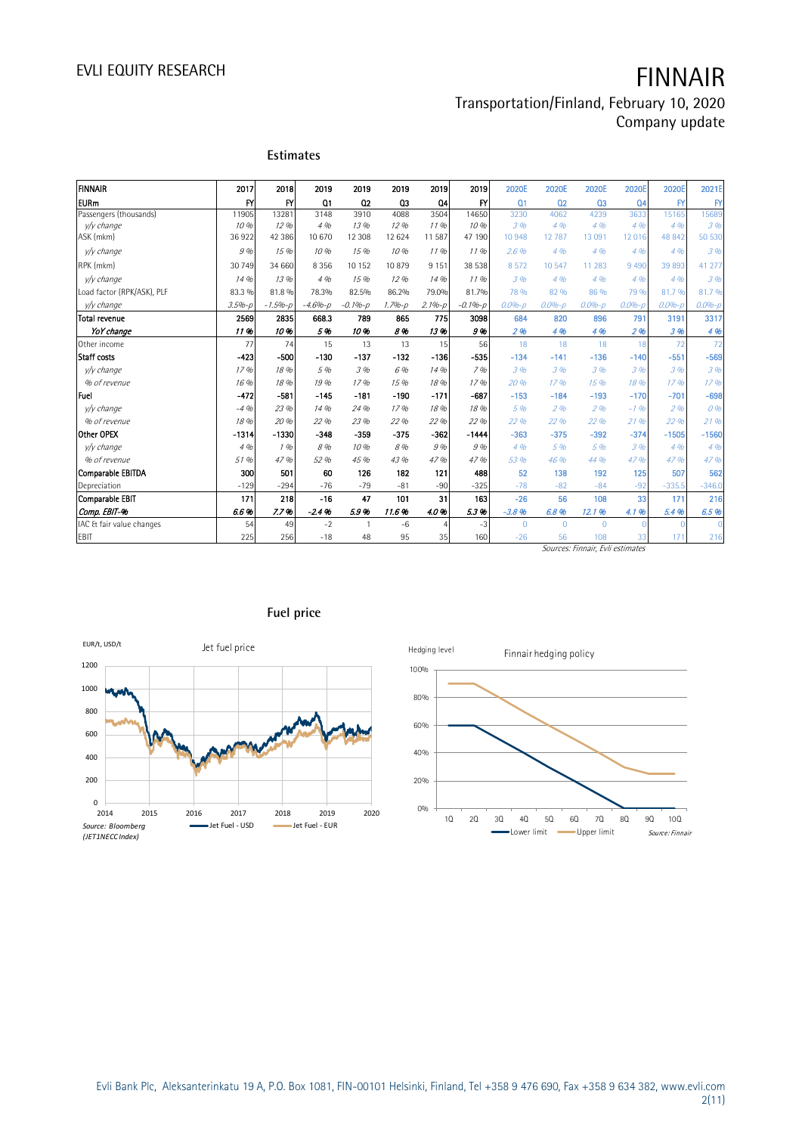# EVLI EQUITY RESEARCH **FINNAIR**

## Transportation/Finland, February 10, 2020 Company update

|                            |            | <b>Estimates</b> |                |                |                   |                |              |                   |                   |                |                 |                   |              |
|----------------------------|------------|------------------|----------------|----------------|-------------------|----------------|--------------|-------------------|-------------------|----------------|-----------------|-------------------|--------------|
| <b>FINNAIR</b>             | 2017       | 2018             | 2019           | 2019           | 2019              | 2019           | 2019         | 2020E             | 2020E             | 2020E          | 2020E           | 2020E             | 2021E        |
| <b>EURm</b>                | FY         | $\mathsf{f}$     | Q <sub>1</sub> | Q <sub>2</sub> | Q3                | Q4             | $\mathsf{F}$ | Q <sub>1</sub>    | Q <sub>2</sub>    | Q <sub>3</sub> | Q <sub>4</sub>  | $\mathsf{F}$      | $\mathsf{F}$ |
| Passengers (thousands)     | 11905      | 13281            | 3148           | 3910           | 4088              | 3504           | 14650        | 3230              | 4062              | 4239           | 3633            | 15165             | 15689        |
| v/y change                 | 10 %       | 12.96            | 4.96           | 13 %           | 12.96             | 11.96          | 10%          | 3.9 <sub>b</sub>  | 4.96              | 4%             | 4.9h            | 4.96              | 3.96         |
| ASK (mkm)                  | 36922      | 42 386           | 10 670         | 12 308         | 12 624            | 11 587         | 47 190       | 10948             | 12 7 8 7          | 13 091         | 12 016          | 48 842            | 50 530       |
| v/v change                 | 9%         | 15 %             | 10 %           | 15 %           | 10 %              | 1196           | 1196         | 2.6%              | 4.96              | 4%             | 4%              | 4%                | 3.96         |
| RPK (mkm)                  | 30 749     | 34 660           | 8 3 5 6        | 10 152         | 10879             | 9 1 5 1        | 38 538       | 8572              | 10 547            | 11 283         | 9 4 9 0         | 39 893            | 41 277       |
| v/v change                 | 14 %       | 13%              | 4%             | 15 %           | 12.96             | 14 %           | 1196         | 3.96              | 4%                | 4%             | 4%              | 4%                | 3.96         |
| Load factor (RPK/ASK), PLF | 83.3 %     | 81.8 %           | 78.3%          | 82.5%          | 86.2%             | 79.0%          | 81.7%        | 78 %              | 82 %              | 86 %           | 79 %            | 81.7%             | 81.7%        |
| v/y change                 | $3.5% - p$ | $-1.5% - p$      | $-4.6% - p$    | $-0.1% - p$    | $1.7% - p$        | $2.1%-p$       | $-0.1% - p$  | $0.0% - p$        | $0.0% - D$        | $0.0% - p$     | $0.0% - p$      | $0.0% - D$        | $0.0% - p$   |
| <b>Total revenue</b>       | 2569       | 2835             | 668.3          | 789            | 865               | 775            | 3098         | 684               | 820               | 896            | 791             | 3191              | 3317         |
| YoY change                 | 11%        | 10%              | 5%             | 10%            | 8%                | 13%            | 9%           | 296               | 4 %               | 4 %            | 2%              | 3 %               | 4 %          |
| Other income               | 77         | 74               | 15             | 13             | 13                | 15             | 56           | 18                | 18                | 18             | 18              | 72                | 72           |
| <b>Staff</b> costs         | $-423$     | $-500$           | $-130$         | $-137$         | $-132$            | $-136$         | $-535$       | $-134$            | $-141$            | $-136$         | $-140$          | $-551$            | $-569$       |
| v/v change                 | 17%        | 18 %             | 5 %            | 3 %            | 6 %               | 14 %           | 7%           | 3%                | 3%                | 3%             | 3%              | 3 %               | 3.96         |
| % of revenue               | 16 %       | 18 %             | 19 %           | 17%            | 15 %              | 18 %           | 17%          | 20 %              | 17.96             | 15 %           | 18 %            | 17.96             | 17.96        |
| <b>Fuel</b>                | $-472$     | $-581$           | $-145$         | $-181$         | $-190$            | $-171$         | $-687$       | $-153$            | $-184$            | $-193$         | $-170$          | $-701$            | $-698$       |
| v/y change                 | $-4.96$    | 23 %             | 14 %           | 24 %           | 17%               | 18 %           | 18 %         | 5 %               | 296               | 2%             | $-1.96$         | 296               | 0%           |
| % of revenue               | 18 %       | 20 %             | 22 %           | 23 %           | 22.9 <sub>h</sub> | 22 %           | 22 %         | 22.9 <sub>h</sub> | 22.9 <sub>h</sub> | 22 %           | 21%             | 22.9 <sub>h</sub> | 21%          |
| Other OPEX                 | $-1314$    | $-1330$          | $-348$         | $-359$         | $-375$            | $-362$         | $-1444$      | $-363$            | $-375$            | $-392$         | $-374$          | $-1505$           | $-1560$      |
| v/v change                 | 4%         | 196              | 8 %            | 10%            | 8 %               | 9%             | 9%           | 4.9h              | 5 %               | 5 %            | 3%              | 4%                | 4%           |
| % of revenue               | 51 %       | 47 %             | 52 %           | 4.5 %          | 43 %              | 47 %           | 47 %         | 53%               | 46 %              | 44 %           | 47 %            | 47%               | 47 %         |
| Comparable EBITDA          | 300        | 501              | 60             | 126            | 182               | 121            | 488          | 52                | 138               | 192            | 125             | 507               | 562          |
| Depreciation               | $-129$     | $-294$           | $-76$          | $-79$          | $-81$             | $-90$          | $-325$       | $-78$             | $-82$             | $-84$          | $-92$           | $-335.5$          | $-346.0$     |
| Comparable EBIT            | 171        | 218              | $-16$          | 47             | 101               | 31             | 163          | $-26$             | 56                | 108            | 33 <sup>1</sup> | 171               | 216          |
| Comp. EBIT-%               | 6.6%       | 7.7%             | $-2.4%$        | 5.9%           | 11.6%             | 4.0%           | 5.3%         | $-3.8%$           | 6.8%              | 12.1 %         | 4.1%            | 5.4%              | 6.5%         |
| IAC & fair value changes   | 54         | 49               | $-2$           |                | $-6$              | $\overline{4}$ | $-3$         | $\Omega$          | $\overline{0}$    | $\Omega$       |                 |                   |              |
| EBIT                       | 225        | 256              | $-18$          | 48             | 95                | 35             | 160          | $-26$             | 56                | 108            | 33              | 171               | 216          |

Sources: Finnair, Evli estimates



## **Fuel price**

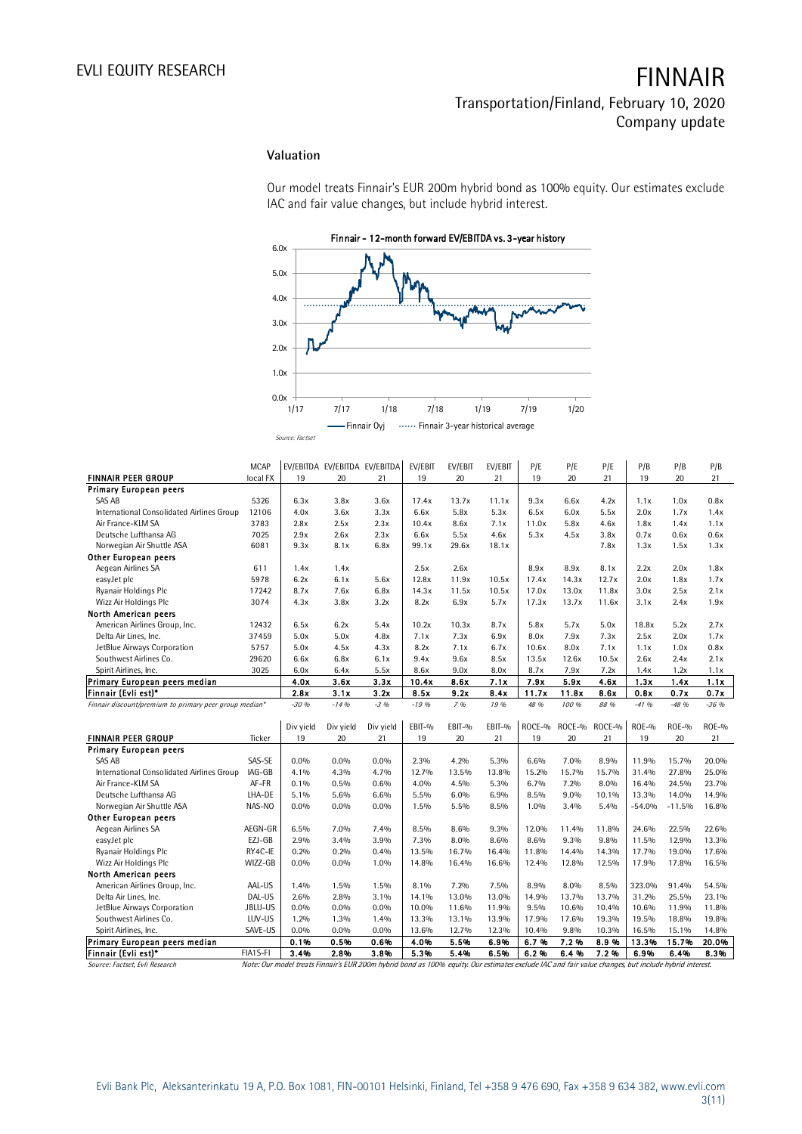## **Valuation**

Our model treats Finnair's EUR 200m hybrid bond as 100% equity. Our estimates exclude IAC and fair value changes, but include hybrid interest.



|                                                        |             | .,              |              |                               |          |                                   |         |        |        |        |              |              |              |
|--------------------------------------------------------|-------------|-----------------|--------------|-------------------------------|----------|-----------------------------------|---------|--------|--------|--------|--------------|--------------|--------------|
|                                                        |             |                 | -Finnair Ovi |                               |          | Finnair 3-year historical average |         |        |        |        |              |              |              |
|                                                        |             | Source: Factset |              |                               |          |                                   |         |        |        |        |              |              |              |
|                                                        |             |                 |              |                               |          |                                   |         |        |        |        |              |              |              |
|                                                        | <b>MCAP</b> |                 |              | EV/EBITDA EV/EBITDA EV/EBITDA |          |                                   | EV/EBIT |        |        |        |              |              |              |
|                                                        |             |                 |              |                               | EV/EBIT  | EV/EBIT                           |         | P/E    | P/E    | P/E    | P/B          | P/B          | P/B          |
| <b>FINNAIR PEER GROUP</b>                              | local FX    | 19              | 20           | 21                            | 19       | 20                                | 21      | 19     | 20     | 21     | 19           | 20           | 21           |
| <b>Primary European peers</b>                          |             |                 |              |                               |          |                                   |         |        |        |        |              |              |              |
| SAS AB                                                 | 5326        | 6.3x            | 3.8x         | 3.6x                          | 17.4x    | 13.7x                             | 11.1x   | 9.3x   | 6.6x   | 4.2x   | 1.1x         | 1.0x         | 0.8x         |
| International Consolidated Airlines Group              | 12106       | 4.0x            | 3.6x         | 3.3x                          | 6.6x     | 5.8x                              | 5.3x    | 6.5x   | 6.0x   | 5.5x   | 2.0x         | 1.7x         | 1.4x         |
| Air France-KLM SA                                      | 3783        | 2.8x            | 2.5x         | 2.3x                          | 10.4x    | 8.6x                              | 7.1x    | 11.0x  | 5.8x   | 4.6x   | 1.8x         | 1.4x         | 1.1x         |
| Deutsche Lufthansa AG                                  | 7025        | 2.9x            | 2.6x         | 2.3x                          | 6.6x     | 5.5x                              | 4.6x    | 5.3x   | 4.5x   | 3.8x   | 0.7x         | 0.6x         | 0.6x         |
| Norwegian Air Shuttle ASA                              | 6081        | 9.3x            | 8.1x         | 6.8x                          | 99.1x    | 29.6x                             | 18.1x   |        |        | 7.8x   | 1.3x         | 1.5x         | 1.3x         |
| Other European peers                                   |             |                 |              |                               |          |                                   |         |        |        |        |              |              |              |
| Aegean Airlines SA                                     | 611         | 1.4x            | 1.4x         |                               | 2.5x     | 2.6x                              |         | 8.9x   | 8.9x   | 8.1x   | 2.2x         | 2.0x         | 1.8x         |
| easyJet plc                                            | 5978        | 6.2x            | 6.1x         | 5.6x                          | 12.8x    | 11.9x                             | 10.5x   | 17.4x  | 14.3x  | 12.7x  | 2.0x         | 1.8x         | 1.7x         |
| Ryanair Holdings Plc                                   | 17242       | 8.7x            | 7.6x         | 6.8x                          | 14.3x    | 11.5x                             | 10.5x   | 17.0x  | 13.0x  | 11.8x  | 3.0x         | 2.5x         | 2.1x         |
| Wizz Air Holdings Plc                                  | 3074        | 4.3x            | 3.8x         | 3.2x                          | 8.2x     | 6.9x                              | 5.7x    | 17.3x  | 13.7x  | 11.6x  | 3.1x         | 2.4x         | 1.9x         |
| North American peers                                   |             |                 |              |                               |          |                                   |         |        |        |        |              |              |              |
| American Airlines Group, Inc.                          | 12432       | 6.5x            | 6.2x         | 5.4x                          | 10.2x    | 10.3x                             | 8.7x    | 5.8x   | 5.7x   | 5.0x   | 18.8x        | 5.2x         | 2.7x         |
| Delta Air Lines, Inc.                                  | 37459       | 5.0x            | 5.0x         | 4.8x                          | 7.1x     | 7.3x                              | 6.9x    | 8.0x   | 7.9x   | 7.3x   | 2.5x         | 2.0x         | 1.7x         |
| JetBlue Airways Corporation                            | 5757        | 5.0x            | 4.5x         | 4.3x                          | 8.2x     | 7.1x                              | 6.7x    | 10.6x  | 8.0x   | 7.1x   | 1.1x         | 1.0x         | 0.8x         |
| Southwest Airlines Co.                                 | 29620       | 6.6x            | 6.8x         | 6.1x                          | 9.4x     | 9.6x                              | 8.5x    | 13.5x  | 12.6x  | 10.5x  | 2.6x         | 2.4x         | 2.1x         |
| Spirit Airlines, Inc.                                  | 3025        | 6.0x            | 6.4x         | 5.5x                          | 8.6x     | 9.0x                              | 8.0x    | 8.7x   | 7.9x   | 7.2x   | 1.4x         | 1.2x         | 1.1x         |
| Primary European peers median                          |             | 4.0x            | 3.6x         | 3.3x                          | 10.4x    | 8.6x                              | 7.1x    | 7.9x   | 5.9x   | 4.6x   | 1.3x         | 1.4x         | 1.1x         |
| Finnair (Evli est)*                                    |             | 2.8x            | 3.1x         | 3.2x                          | 8.5x     | 9.2x                              | 8.4x    | 11.7x  | 11.8x  | 8.6x   | 0.8x         | 0.7x         | 0.7x         |
| Finnair discount/premium to primary peer group median* |             | $-30.96$        | $-14.96$     | $-3.96$                       | $-19.96$ | 796                               | 19 %    | 48 %   | 100 %  | 88 %   | $-41.96$     | $-48.96$     | $-36.96$     |
|                                                        |             |                 |              |                               |          |                                   |         |        |        |        |              |              |              |
|                                                        |             | Div yield       | Div yield    | Div yield                     | EBIT-%   | EBIT-%                            | EBIT-%  | ROCE-% | ROCE-% | ROCE-% | <b>ROE-%</b> | <b>ROE-%</b> | <b>ROE-%</b> |
| <b>FINNAIR PEER GROUP</b>                              | Ticker      | 19              | 20           | 21                            | 19       | 20                                | 21      | 19     | 20     | 21     | 19           | 20           | 21           |
| Primary European peers                                 |             |                 |              |                               |          |                                   |         |        |        |        |              |              |              |
| SAS AB                                                 | SAS-SE      | $0.0\%$         | $0.0\%$      | $0.0\%$                       | 2.3%     | 4.2%                              | 5.3%    | 6.6%   | 7.0%   | 8.9%   | 11.9%        | 15.7%        | 20.0%        |
| International Consolidated Airlines Group              | IAG-GB      | 4.1%            | 4.3%         | 4.7%                          | 12.7%    | 13.5%                             | 13.8%   | 15.2%  | 15.7%  | 15.7%  | 31.4%        | 27.8%        | 25.0%        |
| Air France-KLM SA                                      | AF-FR       | 0.1%            | 0.5%         | 0.6%                          | 4.0%     | 4.5%                              | 5.3%    | 6.7%   | 7.2%   | 8.0%   | 16.4%        | 24.5%        | 23.7%        |
| Deutsche Lufthansa AG                                  | LHA-DE      | 5.1%            | 5.6%         | 6.6%                          | 5.5%     | 6.0%                              | 6.9%    | 8.5%   | 9.0%   | 10.1%  | 13.3%        | 14.0%        | 14.9%        |
| Norwegian Air Shuttle ASA                              | NAS-NO      | $0.0\%$         | 0.0%         | $0.0\%$                       | 1.5%     | 5.5%                              | 8.5%    | 1.0%   | 3.4%   | 5.4%   | $-54.0%$     | $-11.5%$     | 16.8%        |
| <b>Other European peers</b>                            |             |                 |              |                               |          |                                   |         |        |        |        |              |              |              |
| Aegean Airlines SA                                     | AEGN-GR     | 6.5%            | 7.0%         | 7.4%                          | 8.5%     | 8.6%                              | 9.3%    | 12.0%  | 11.4%  | 11.8%  | 24.6%        | 22.5%        | 22.6%        |
| easyJet plc                                            | EZJ-GB      | 2.9%            | 3.4%         | 3.9%                          | 7.3%     | 8.0%                              | 8.6%    | 8.6%   | 9.3%   | 9.8%   | 11.5%        | 12.9%        | 13.3%        |
| Ryanair Holdings Plc                                   | RY4C-IE     | 0.2%            | 0.2%         | 0.4%                          | 13.5%    | 16.7%                             | 16.4%   | 11.8%  | 14.4%  | 14.3%  | 17.7%        | 19.0%        | 17.6%        |
| Wizz Air Holdings Plc                                  | WIZZ-GB     | $0.0\%$         | $0.0\%$      | 1.0%                          | 14.8%    | 16.4%                             | 16.6%   | 12.4%  | 12.8%  | 12.5%  | 17.9%        | 17.8%        | 16.5%        |
| North American peers                                   |             |                 |              |                               |          |                                   |         |        |        |        |              |              |              |
| American Airlines Group, Inc.                          | AAL-US      | 1.4%            | 1.5%         | 1.5%                          | 8.1%     | 7.2%                              | 7.5%    | 8.9%   | 8.0%   | 8.5%   | 323.0%       | 91.4%        | 54.5%        |
| Delta Air Lines, Inc.                                  | DAL-US      | 2.6%            | 2.8%         | $3.1\%$                       | 14.1%    | 13.0%                             | 13.0%   | 14.9%  | 13.7%  | 13.7%  | 31.2%        | 25.5%        | 23.1%        |
| JetBlue Airways Corporation                            | JBLU-US     | $0.0\%$         | $0.0\%$      | $0.0\%$                       | 10.0%    | 11.6%                             | 11.9%   | 9.5%   | 10.6%  | 10.4%  | 10.6%        | 11.9%        | 11.8%        |
| Southwest Airlines Co.                                 | LUV-US      | 1.2%            | 1.3%         | 1.4%                          | 13.3%    | 13.1%                             | 13.9%   | 17.9%  | 17.6%  | 19.3%  | 19.5%        | 18.8%        | 19.8%        |
| Spirit Airlines, Inc.                                  | SAVE-US     | $0.0\%$         | $0.0\%$      | $0.0\%$                       | 13.6%    | 12.7%                             | 12.3%   | 10.4%  | 9.8%   | 10.3%  | 16.5%        | 15.1%        | 14.8%        |
| Primary European peers median                          |             | 0.1%            | 0.5%         | 0.6%                          | 4.0%     | 5.5%                              | 6.9%    | 6.7%   | 7.2%   | 8.9%   | 13.3%        | 15.7%        | 20.0%        |
| Finnair (Evli est)*                                    | FIA1S-FI    | 3.4%            | 2.8%         | 3.8%                          | 5.3%     | 5.4%                              | 6.5%    | 6.2%   | 6.4%   | 7.2%   | 6.9%         | 6.4%         | 8.3%         |
|                                                        |             |                 |              |                               |          |                                   |         |        |        |        |              |              |              |

Source: Factset, Evli Research Note: Our model treats Finnair's EUR 200m hybrid bond as 100% equity. Our estimates exclude IAC and fair value changes, but include hybrid interest.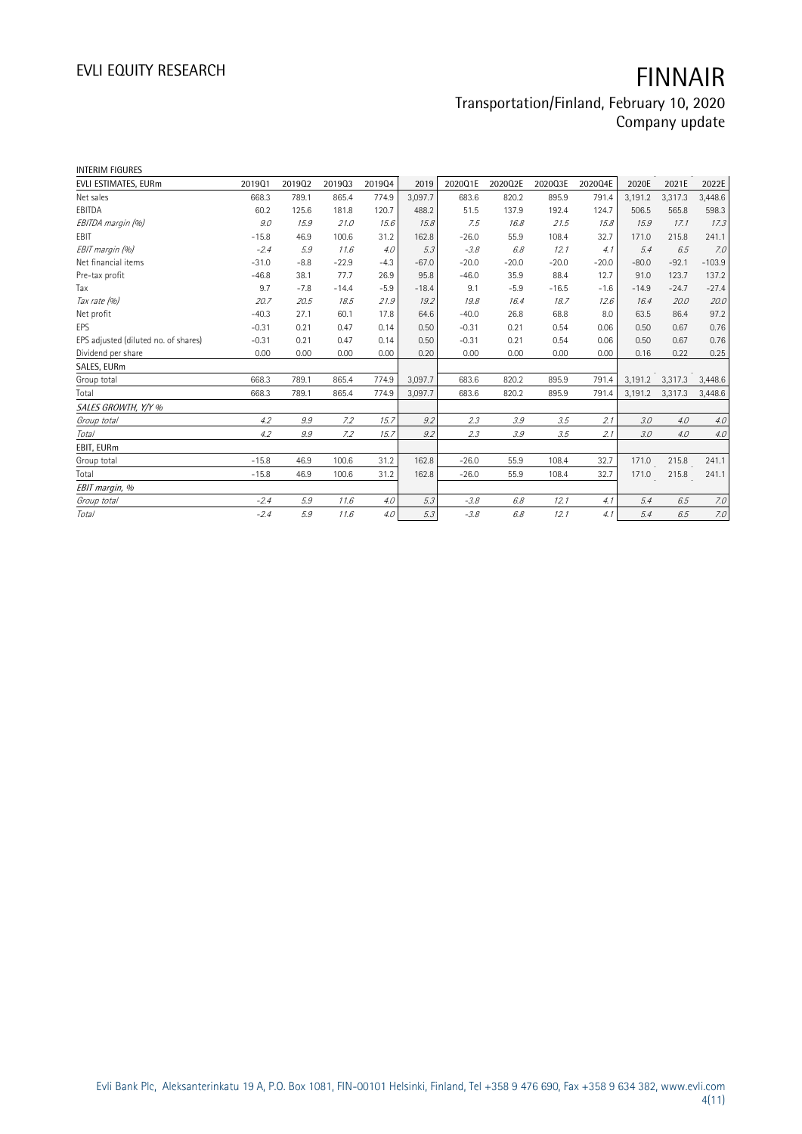# EVLI EQUITY RESEARCH **FINNAIR**

## Transportation/Finland, February 10, 2020 Company update

| <b>INTERIM FIGURES</b>               |         |        |         |        |         |         |         |         |         |         |         |          |
|--------------------------------------|---------|--------|---------|--------|---------|---------|---------|---------|---------|---------|---------|----------|
| EVLI ESTIMATES, EURm                 | 201901  | 201902 | 201903  | 201904 | 2019    | 2020Q1E | 2020Q2E | 2020Q3E | 2020Q4E | 2020E   | 2021E   | 2022E    |
| Net sales                            | 668.3   | 789.1  | 865.4   | 774.9  | 3,097.7 | 683.6   | 820.2   | 895.9   | 791.4   | 3,191.2 | 3,317.3 | 3,448.6  |
| EBITDA                               | 60.2    | 125.6  | 181.8   | 120.7  | 488.2   | 51.5    | 137.9   | 192.4   | 124.7   | 506.5   | 565.8   | 598.3    |
| EBITDA margin (%)                    | 9.0     | 15.9   | 21.0    | 15.6   | 15.8    | 7.5     | 16.8    | 21.5    | 15.8    | 15.9    | 17.1    | 17.3     |
| <b>FBIT</b>                          | $-15.8$ | 46.9   | 100.6   | 31.2   | 162.8   | $-26.0$ | 55.9    | 108.4   | 32.7    | 171.0   | 215.8   | 241.1    |
| EBIT margin (%)                      | $-2.4$  | 5.9    | 11.6    | 4.0    | 5.3     | $-3.8$  | 6.8     | 12.1    | 4.1     | 5.4     | 6.5     | 7.0      |
| Net financial items                  | $-31.0$ | $-8.8$ | $-22.9$ | $-4.3$ | $-67.0$ | $-20.0$ | $-20.0$ | $-20.0$ | $-20.0$ | $-80.0$ | $-92.1$ | $-103.9$ |
| Pre-tax profit                       | $-46.8$ | 38.1   | 77.7    | 26.9   | 95.8    | $-46.0$ | 35.9    | 88.4    | 12.7    | 91.0    | 123.7   | 137.2    |
| Tax                                  | 9.7     | $-7.8$ | $-14.4$ | $-5.9$ | $-18.4$ | 9.1     | $-5.9$  | $-16.5$ | $-1.6$  | $-14.9$ | $-24.7$ | $-27.4$  |
| Tax rate (%)                         | 20.7    | 20.5   | 18.5    | 21.9   | 19.2    | 19.8    | 16.4    | 18.7    | 12.6    | 16.4    | 20.0    | 20.0     |
| Net profit                           | $-40.3$ | 27.1   | 60.1    | 17.8   | 64.6    | $-40.0$ | 26.8    | 68.8    | 8.0     | 63.5    | 86.4    | 97.2     |
| EPS                                  | $-0.31$ | 0.21   | 0.47    | 0.14   | 0.50    | $-0.31$ | 0.21    | 0.54    | 0.06    | 0.50    | 0.67    | 0.76     |
| EPS adjusted (diluted no. of shares) | $-0.31$ | 0.21   | 0.47    | 0.14   | 0.50    | $-0.31$ | 0.21    | 0.54    | 0.06    | 0.50    | 0.67    | 0.76     |
| Dividend per share                   | 0.00    | 0.00   | 0.00    | 0.00   | 0.20    | 0.00    | 0.00    | 0.00    | 0.00    | 0.16    | 0.22    | 0.25     |
| SALES, EURm                          |         |        |         |        |         |         |         |         |         |         |         |          |
| Group total                          | 668.3   | 789.1  | 865.4   | 774.9  | 3,097.7 | 683.6   | 820.2   | 895.9   | 791.4   | 3,191.2 | 3,317.3 | 3,448.6  |
| Total                                | 668.3   | 789.1  | 865.4   | 774.9  | 3.097.7 | 683.6   | 820.2   | 895.9   | 791.4   | 3,191.2 | 3,317.3 | 3,448.6  |
| SALES GROWTH, Y/Y %                  |         |        |         |        |         |         |         |         |         |         |         |          |
| Group total                          | 4.2     | 9.9    | 7.2     | 15.7   | 9.2     | 2.3     | 3.9     | 3.5     | 2.1     | 3.0     | 4.0     | 4.0      |
| Total                                | 4.2     | 9.9    | 7.2     | 15.7   | 9.2     | 2.3     | 3.9     | 3.5     | 2.1     | 3.0     | 4.0     | 4.0      |
| EBIT, EURm                           |         |        |         |        |         |         |         |         |         |         |         |          |
| Group total                          | $-15.8$ | 46.9   | 100.6   | 31.2   | 162.8   | $-26.0$ | 55.9    | 108.4   | 32.7    | 171.0   | 215.8   | 241.1    |
| Total                                | $-15.8$ | 46.9   | 100.6   | 31.2   | 162.8   | $-26.0$ | 55.9    | 108.4   | 32.7    | 171.0   | 215.8   | 241.1    |
| EBIT margin, %                       |         |        |         |        |         |         |         |         |         |         |         |          |
| Group total                          | $-2.4$  | 5.9    | 11.6    | 4.0    | 5.3     | $-3.8$  | 6.8     | 12.1    | 4.1     | 5.4     | 6.5     | 7.0      |
| Total                                | $-2.4$  | 5.9    | 11.6    | 4.0    | 5.3     | $-3.8$  | 6.8     | 12.1    | 4.1     | 5.4     | 6.5     | $7.0\,$  |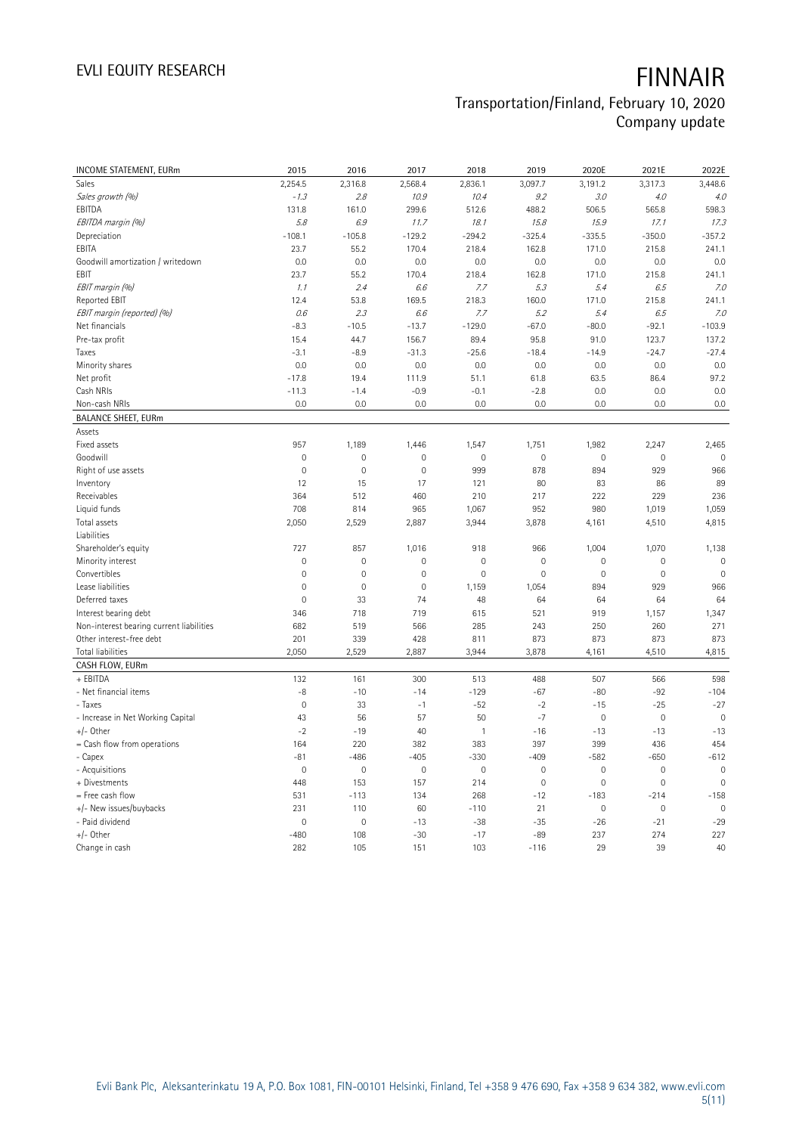# EVLI EQUITY RESEARCH **FINNAIR**

## Transportation/Finland, February 10, 2020 Company update

| INCOME STATEMENT, EURm                   | 2015           | 2016           | 2017                | 2018           | 2019         | 2020E               | 2021E               | 2022E               |
|------------------------------------------|----------------|----------------|---------------------|----------------|--------------|---------------------|---------------------|---------------------|
| Sales                                    | 2,254.5        | 2,316.8        | 2,568.4             | 2,836.1        | 3,097.7      | 3,191.2             | 3,317.3             | 3,448.6             |
| Sales growth (%)                         | $-1.3$         | 2.8            | 10.9                | 10.4           | 9.2          | 3.0                 | 4.0                 | 4.0                 |
| EBITDA                                   | 131.8          | 161.0          | 299.6               | 512.6          | 488.2        | 506.5               | 565.8               | 598.3               |
| EBITDA margin (%)                        | 5.8            | 6.9            | 11.7                | 18.1           | 15.8         | 15.9                | 17.1                | 17.3                |
| Depreciation                             | $-108.1$       | $-105.8$       | $-129.2$            | $-294.2$       | $-325.4$     | $-335.5$            | $-350.0$            | $-357.2$            |
| EBITA                                    | 23.7           | 55.2           | 170.4               | 218.4          | 162.8        | 171.0               | 215.8               | 241.1               |
| Goodwill amortization / writedown        | 0.0            | 0.0            | 0.0                 | 0.0            | 0.0          | 0.0                 | 0.0                 | 0.0                 |
| EBIT                                     | 23.7           | 55.2           | 170.4               | 218.4          | 162.8        | 171.0               | 215.8               | 241.1               |
| EBIT margin (%)                          | 1.1            | 2.4            | 6.6                 | 7.7            | 5.3          | 5.4                 | 6.5                 | 7.0                 |
| Reported EBIT                            | 12.4           | 53.8           | 169.5               | 218.3          | 160.0        | 171.0               | 215.8               | 241.1               |
| EBIT margin (reported) (%)               | 0.6            | 2.3            | 6.6                 | 7.7            | 5.2          | 5.4                 | 6.5                 | 7.0                 |
| Net financials                           | $-8.3$         | $-10.5$        | $-13.7$             | $-129.0$       | $-67.0$      | $-80.0$             | $-92.1$             | $-103.9$            |
| Pre-tax profit                           | 15.4           | 44.7           | 156.7               | 89.4           | 95.8         | 91.0                | 123.7               | 137.2               |
| Taxes                                    | $-3.1$         | $-8.9$         | $-31.3$             | $-25.6$        | $-18.4$      | $-14.9$             | $-24.7$             | $-27.4$             |
| Minority shares                          | 0.0            | 0.0            | 0.0                 | 0.0            | 0.0          | 0.0                 | 0.0                 | 0.0                 |
| Net profit                               | $-17.8$        | 19.4           | 111.9               | 51.1           | 61.8         | 63.5                | 86.4                | 97.2                |
| Cash NRIs                                | $-11.3$        | $-1.4$         | $-0.9$              | $-0.1$         | $-2.8$       | 0.0                 | 0.0                 | 0.0                 |
| Non-cash NRIs                            | 0.0            | 0.0            | 0.0                 | 0.0            | 0.0          | 0.0                 | 0.0                 | 0.0                 |
| <b>BALANCE SHEET, EURm</b>               |                |                |                     |                |              |                     |                     |                     |
| Assets                                   |                |                |                     |                |              |                     |                     |                     |
| Fixed assets                             | 957            | 1,189          | 1,446               | 1,547          | 1,751        | 1,982               | 2,247               | 2,465               |
| Goodwill                                 | $\overline{0}$ | $\mathbf 0$    | $\overline{0}$      | $\mathbf 0$    | $\mathbf 0$  | $\mathsf{O}\xspace$ | $\mathbf 0$         | $\mathbb O$         |
| Right of use assets                      | $\mathbf 0$    | $\mathbf 0$    | $\mathsf{O}\xspace$ | 999            | 878          | 894                 | 929                 | 966                 |
| Inventory                                | 12             | 15             | 17                  | 121            | 80           | 83                  | 86                  | 89                  |
| Receivables                              | 364            | 512            | 460                 | 210            | 217          | 222                 | 229                 | 236                 |
| Liquid funds                             | 708            | 814            | 965                 | 1,067          | 952          | 980                 | 1,019               | 1,059               |
| Total assets                             | 2,050          | 2,529          | 2,887               | 3,944          | 3,878        | 4,161               | 4,510               | 4,815               |
| Liabilities                              |                |                |                     |                |              |                     |                     |                     |
| Shareholder's equity                     | 727            | 857            | 1,016               | 918            | 966          | 1,004               | 1,070               | 1,138               |
| Minority interest                        | $\mathbf 0$    | $\overline{0}$ | 0                   | $\mathbf 0$    | $\mathbf 0$  | $\mathsf{O}\xspace$ | $\mathbf 0$         | $\mathbb O$         |
| Convertibles                             | $\mathbf{0}$   | $\mathbf 0$    | $\mathbf 0$         | $\mathbf 0$    | $\mathbf{0}$ | $\mathbf{0}$        | $\mathbf 0$         | $\mathbb O$         |
| Lease liabilities                        | $\mathbf 0$    | $\mathbf 0$    | $\mathsf{O}\xspace$ | 1,159          | 1,054        | 894                 | 929                 | 966                 |
| Deferred taxes                           | $\mathbf 0$    | 33             | 74                  | 48             | 64           | 64                  | 64                  | 64                  |
| Interest bearing debt                    | 346            | 718            | 719                 | 615            | 521          | 919                 | 1,157               | 1,347               |
| Non-interest bearing current liabilities | 682            | 519            | 566                 | 285            | 243          | 250                 | 260                 | 271                 |
| Other interest-free debt                 | 201            | 339            | 428                 | 811            | 873          | 873                 | 873                 | 873                 |
| <b>Total liabilities</b>                 | 2,050          | 2,529          | 2,887               | 3,944          | 3,878        | 4,161               | 4,510               | 4,815               |
| CASH FLOW, EURm                          |                |                |                     |                |              |                     |                     |                     |
| + EBITDA                                 | 132            | 161            | 300                 | 513            | 488          | 507                 | 566                 | 598                 |
| - Net financial items                    | -8             | $-10$          | $-14$               | $-129$         | $-67$        | $-80$               | $-92$               | $-104$              |
| - Taxes                                  | $\mathbf 0$    | 33             | $-1$                | $-52$          | $-2$         | $-15$               | $-25$               | $-27$               |
| - Increase in Net Working Capital        | 43             | 56             | 57                  | 50             | $-7$         | $\mathbf 0$         | $\mathbf 0$         | $\mathbb O$         |
| $+/-$ Other                              | $-2$           | $-19$          | 40                  | $\overline{1}$ | $-16$        | $-13$               | $-13$               | $-13$               |
| = Cash flow from operations              | 164            | 220            | 382                 | 383            | 397          | 399                 | 436                 | 454                 |
| - Capex                                  | $-81$          | $-486$         | $-405$              | $-330$         | $-409$       | $-582$              | $-650$              | $-612$              |
| - Acquisitions                           | $\mathbb O$    | 0              | $\mathsf{O}\xspace$ | $\mathbb O$    | $\mathbb O$  | $\mathbb O$         | $\mathsf{O}\xspace$ | $\mathsf{O}\xspace$ |
| + Divestments                            | 448            | 153            | 157                 | 214            | $\mathbf 0$  | $\mathbf 0$         | $\overline{0}$      | $\mathbb O$         |
| = Free cash flow                         | 531            | $-113$         | 134                 | 268            | $-12$        | $-183$              | $-214$              | $-158$              |
| +/- New issues/buybacks                  | 231            | 110            | 60                  | $-110$         | 21           | $\mathbb O$         | $\mathbf 0$         | $\mathbb O$         |
| - Paid dividend                          | $\mathbf 0$    | $\overline{0}$ | $-13$               | $-38$          | $-35$        | $-26$               | $-21$               | $-29$               |
| $+/-$ Other                              | $-480$         | 108            | $-30$               | $-17$          | $-89$        | 237                 | 274                 | 227                 |
| Change in cash                           | 282            | 105            | 151                 | 103            | $-116$       | 29                  | 39                  | 40                  |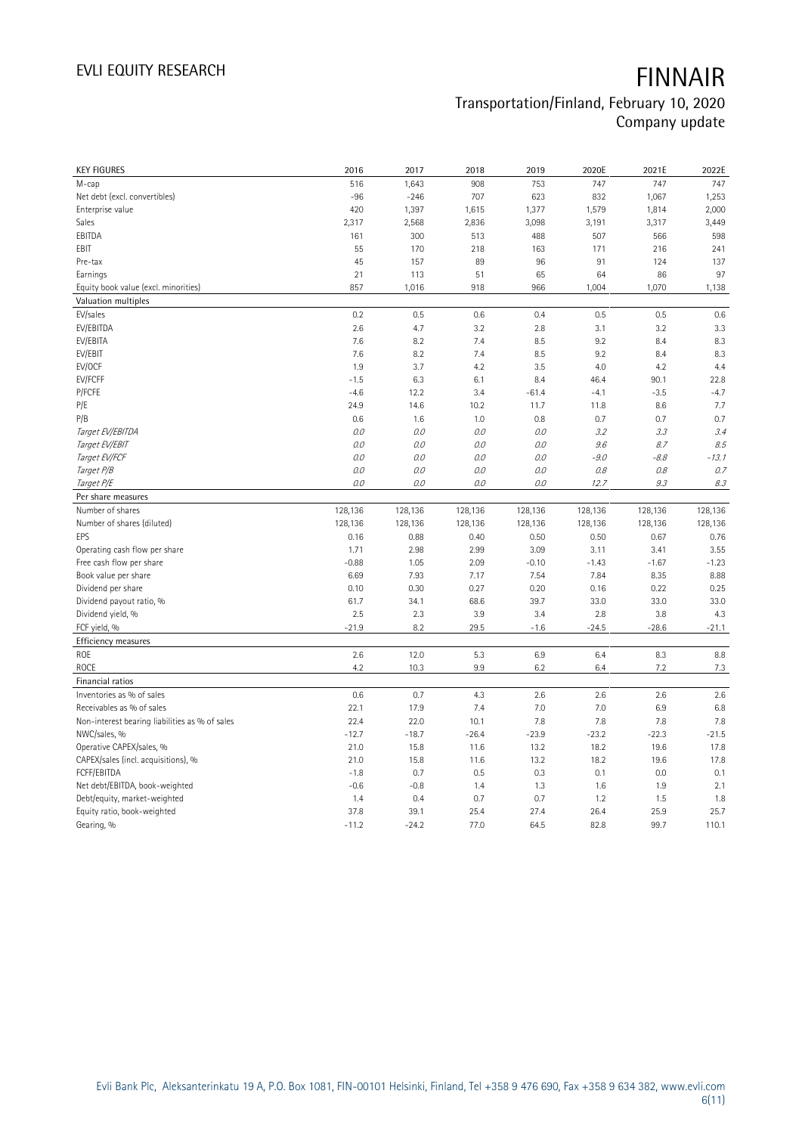| <b>KEY FIGURES</b>                             | 2016            | 2017            | 2018         | 2019         | 2020E        | 2021E        | 2022E         |
|------------------------------------------------|-----------------|-----------------|--------------|--------------|--------------|--------------|---------------|
| M-cap                                          | 516             | 1,643           | 908          | 753          | 747          | 747          | 747           |
| Net debt (excl. convertibles)                  | $-96$           | $-246$          | 707          | 623          | 832          | 1,067        | 1,253         |
| Enterprise value                               | 420             | 1,397           | 1,615        | 1,377        | 1,579        | 1,814        | 2,000         |
| Sales                                          | 2,317           | 2,568           | 2,836        | 3,098        | 3,191        | 3,317        | 3,449         |
| EBITDA                                         | 161             | 300             | 513          | 488          | 507          | 566          | 598           |
| EBIT                                           | 55              | 170             | 218          | 163          | 171          | 216          | 241           |
| Pre-tax                                        | 45              | 157             | 89           | 96           | 91           | 124          | 137           |
| Earnings                                       | 21              | 113             | 51           | 65           | 64           | 86           | 97            |
| Equity book value (excl. minorities)           | 857             | 1,016           | 918          | 966          | 1,004        | 1,070        | 1,138         |
| Valuation multiples                            |                 |                 |              |              |              |              |               |
| EV/sales                                       | 0.2             | 0.5             | 0.6          | 0.4          | 0.5          | 0.5          | 0.6           |
| EV/EBITDA                                      | 2.6             | 4.7             | 3.2          | 2.8          | 3.1          | 3.2          | 3.3           |
| EV/EBITA                                       | 7.6             | 8.2             | 7.4          | 8.5          | 9.2          | 8.4          | 8.3           |
| EV/EBIT                                        | 7.6             | 8.2             | 7.4          | 8.5          | 9.2          | 8.4          | 8.3           |
| EV/OCF                                         | 1.9             | 3.7             | 4.2          | 3.5          | 4.0          | 4.2          | 4.4           |
| EV/FCFF                                        | $-1.5$          | 6.3             | 6.1          | 8.4          | 46.4         | 90.1         | 22.8          |
| P/FCFE                                         | $-4.6$          | 12.2            | 3.4          | $-61.4$      | $-4.1$       | $-3.5$       | $-4.7$        |
| P/E                                            | 24.9            | 14.6            | 10.2         | 11.7         | 11.8         | 8.6          | 7.7           |
| P/B                                            | 0.6             | 1.6             | 1.0          | 0.8          | 0.7          | 0.7          | 0.7           |
| Target EV/EBITDA                               | 0.0             | 0.0             | 0.0          | 0.0          | 3.2          | 3.3          | 3.4           |
| Target EV/EBIT                                 | 0.0             | 0.0             | 0.0          | 0.0          | 9.6          | 8.7          | 8.5           |
| Target EV/FCF                                  | 0.0             | 0.0             | 0.0          | 0.0          | $-9.0$       | $-8.8$       | $-13.1$       |
| Target P/B                                     | 0.0             | 0.0             | 0.0          | O.O          | 0.8          | 0.8          | 0.7           |
| Target P/E                                     | 0.0             | 0.0             | $0.0$        | 0.0          | 12.7         | 9.3          | 8.3           |
| Per share measures                             |                 |                 |              |              |              |              |               |
|                                                |                 |                 |              |              |              |              |               |
|                                                |                 |                 |              |              |              |              |               |
| Number of shares                               | 128,136         | 128,136         | 128,136      | 128,136      | 128,136      | 128,136      | 128,136       |
| Number of shares (diluted)                     | 128,136         | 128,136         | 128,136      | 128,136      | 128,136      | 128,136      | 128,136       |
| EPS                                            | 0.16            | 0.88            | 0.40         | 0.50         | 0.50         | 0.67         | 0.76          |
| Operating cash flow per share                  | 1.71            | 2.98            | 2.99         | 3.09         | 3.11         | 3.41         | 3.55          |
| Free cash flow per share                       | $-0.88$         | 1.05            | 2.09         | $-0.10$      | $-1.43$      | $-1.67$      | $-1.23$       |
| Book value per share                           | 6.69            | 7.93            | 7.17         | 7.54         | 7.84         | 8.35         | 8.88          |
| Dividend per share                             | 0.10            | 0.30            | 0.27         | 0.20         | 0.16         | 0.22         | 0.25          |
| Dividend payout ratio, %                       | 61.7            | 34.1            | 68.6         | 39.7         | 33.0         | 33.0         | 33.0          |
| Dividend yield, %                              | 2.5             | 2.3             | 3.9          | 3.4          | 2.8          | 3.8          | 4.3           |
| FCF yield, %                                   | $-21.9$         | 8.2             | 29.5         | $-1.6$       | $-24.5$      | $-28.6$      | $-21.1$       |
| Efficiency measures                            |                 |                 |              |              |              |              |               |
| ROE                                            | 2.6             | 12.0            | 5.3          | 6.9          | 6.4          | 8.3          | 8.8           |
| ROCE                                           | 4.2             | 10.3            | 9.9          | 6.2          | 6.4          | 7.2          | 7.3           |
| Financial ratios                               |                 |                 |              |              |              |              |               |
| Inventories as % of sales                      | 0.6             | 0.7             | 4.3          | 2.6          | 2.6          | 2.6          | 2.6           |
| Receivables as % of sales                      | 22.1            | 17.9            | 7.4          | 7.0          | 7.0          | 6.9          | 6.8           |
| Non-interest bearing liabilities as % of sales | 22.4            | 22.0            | 10.1         | 7.8          | 7.8          | 7.8          | 7.8           |
| NWC/sales, %                                   | $-12.7$         | $-18.7$         | $-26.4$      | $-23.9$      | $-23.2$      | $-22.3$      | $-21.5$       |
| Operative CAPEX/sales, %                       | 21.0            | 15.8            | 11.6         | 13.2         | 18.2         | 19.6         | 17.8          |
| CAPEX/sales (incl. acquisitions), %            | 21.0            | 15.8            | 11.6         | 13.2         | 18.2         | 19.6         | 17.8          |
| FCFF/EBITDA                                    | $-1.8$          | 0.7             | 0.5          | 0.3          | 0.1          | 0.0          | 0.1           |
| Net debt/EBITDA, book-weighted                 | $-0.6$          | $-0.8$          | 1.4          | 1.3          | 1.6          | 1.9          | 2.1           |
| Debt/equity, market-weighted                   | 1.4             | 0.4             | 0.7          | 0.7          | 1.2          | 1.5          | 1.8           |
| Equity ratio, book-weighted<br>Gearing, %      | 37.8<br>$-11.2$ | 39.1<br>$-24.2$ | 25.4<br>77.0 | 27.4<br>64.5 | 26.4<br>82.8 | 25.9<br>99.7 | 25.7<br>110.1 |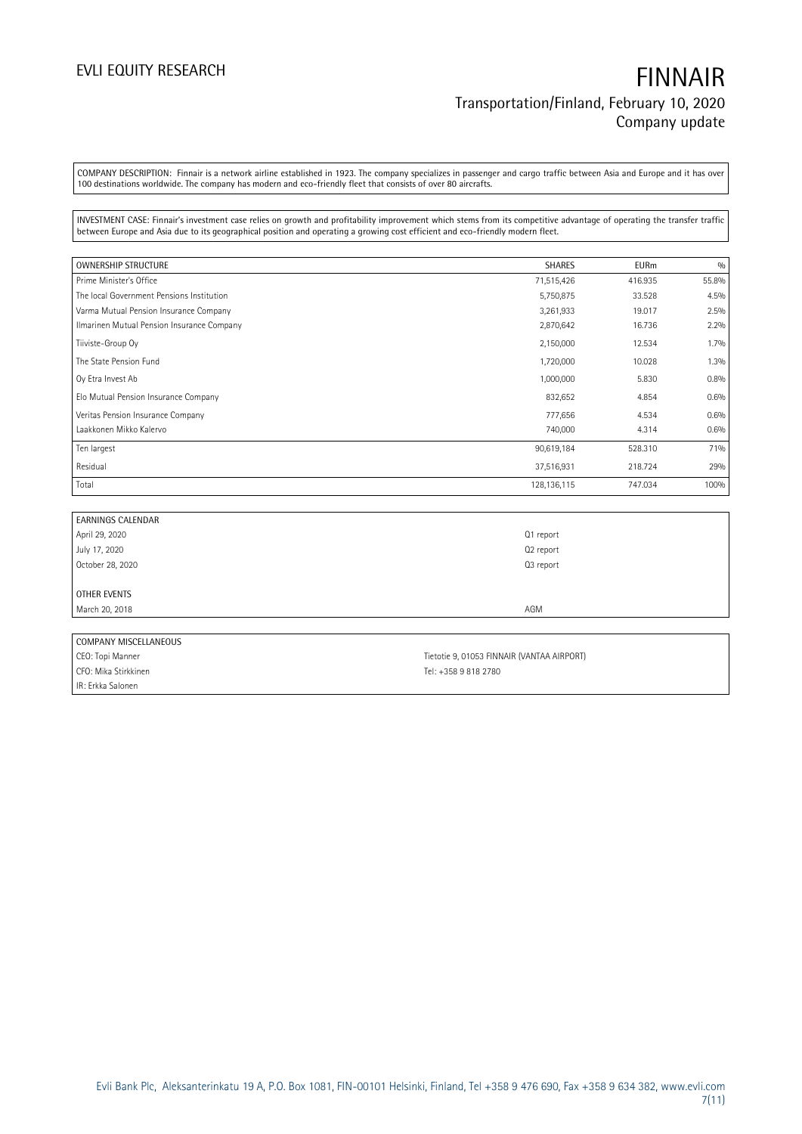COMPANY DESCRIPTION: Finnair is a network airline established in 1923. The company specializes in passenger and cargo traffic between Asia and Europe and it has over 100 destinations worldwide. The company has modern and eco-friendly fleet that consists of over 80 aircrafts.

INVESTMENT CASE: Finnair's investment case relies on growth and profitability improvement which stems from its competitive advantage of operating the transfer traffic between Europe and Asia due to its geographical position and operating a growing cost efficient and eco-friendly modern fleet.

| <b>OWNERSHIP STRUCTURE</b>                 | <b>SHARES</b> | <b>EURm</b> | 0/0   |
|--------------------------------------------|---------------|-------------|-------|
| Prime Minister's Office                    | 71,515,426    | 416.935     | 55.8% |
| The local Government Pensions Institution  | 5,750,875     | 33.528      | 4.5%  |
| Varma Mutual Pension Insurance Company     | 3,261,933     | 19.017      | 2.5%  |
| Ilmarinen Mutual Pension Insurance Company | 2,870,642     | 16.736      | 2.2%  |
| Tiiviste-Group Oy                          | 2,150,000     | 12.534      | 1.7%  |
| The State Pension Fund                     | 1,720,000     | 10.028      | 1.3%  |
| Oy Etra Invest Ab                          | 1,000,000     | 5.830       | 0.8%  |
| Elo Mutual Pension Insurance Company       | 832,652       | 4.854       | 0.6%  |
| Veritas Pension Insurance Company          | 777,656       | 4.534       | 0.6%  |
| Laakkonen Mikko Kalervo                    | 740,000       | 4.314       | 0.6%  |
| Ten largest                                | 90,619,184    | 528.310     | 71%   |
| Residual                                   | 37,516,931    | 218.724     | 29%   |
| Total                                      | 128, 136, 115 | 747.034     | 100%  |

| <b>EARNINGS CALENDAR</b> |           |  |
|--------------------------|-----------|--|
| April 29, 2020           | Q1 report |  |
| July 17, 2020            | Q2 report |  |
| October 28, 2020         | Q3 report |  |
|                          |           |  |
| OTHER EVENTS             |           |  |
| March 20, 2018           | AGM       |  |
|                          |           |  |
| COMPANY MISCELLANEOUS    |           |  |

| COINT I ATT INTJULLUM THUUJ |                                            |
|-----------------------------|--------------------------------------------|
| CEO: Topi Manner            | Tietotie 9, 01053 FINNAIR (VANTAA AIRPORT) |
| CFO: Mika Stirkkinen        | Tel: +358 9 818 2780                       |
| IR: Erkka Salonen           |                                            |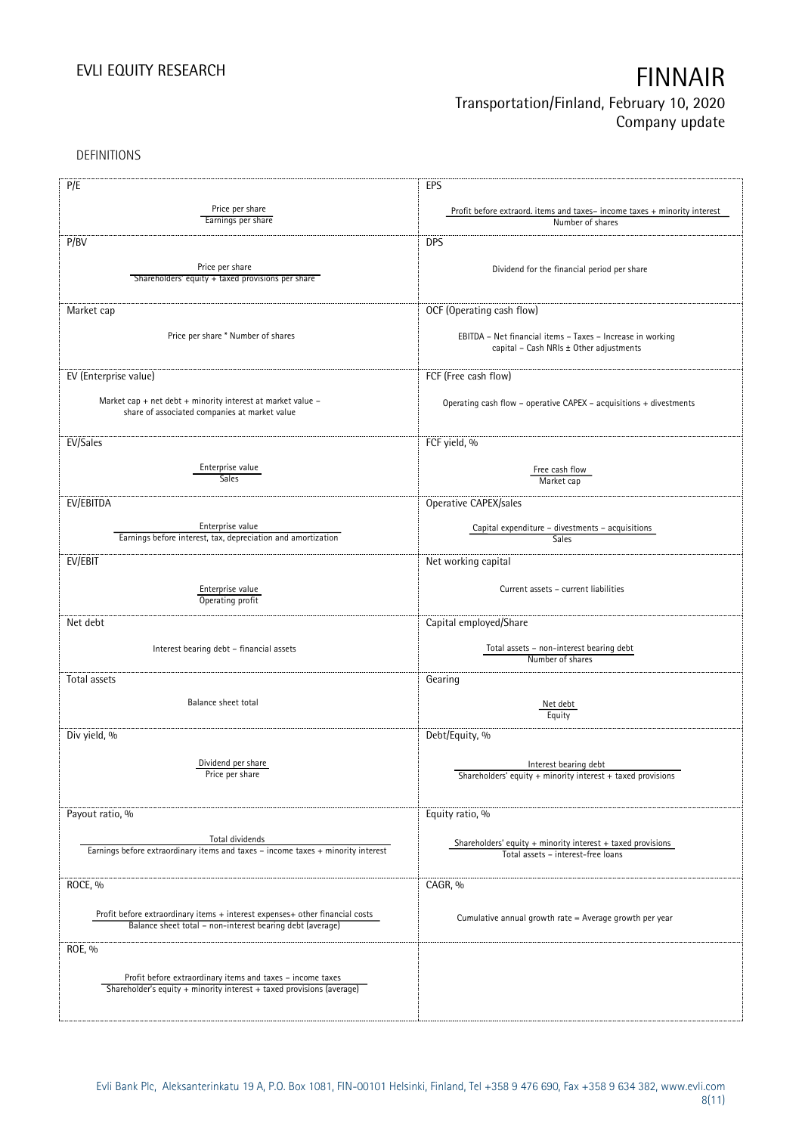DEFINITIONS

| P/E                                                                              | EPS                                                                      |
|----------------------------------------------------------------------------------|--------------------------------------------------------------------------|
|                                                                                  |                                                                          |
| Price per share<br>Earnings per share                                            | Profit before extraord. items and taxes-income taxes + minority interest |
|                                                                                  | Number of shares                                                         |
| P/BV                                                                             | <b>DPS</b>                                                               |
|                                                                                  |                                                                          |
| Price per share                                                                  | Dividend for the financial period per share                              |
| Shareholders' equity + taxed provisions per share                                |                                                                          |
|                                                                                  |                                                                          |
| Market cap                                                                       | OCF (Operating cash flow)                                                |
|                                                                                  |                                                                          |
| Price per share * Number of shares                                               | EBITDA - Net financial items - Taxes - Increase in working               |
|                                                                                  | capital - Cash NRIs ± Other adjustments                                  |
|                                                                                  |                                                                          |
| EV (Enterprise value)                                                            | FCF (Free cash flow)                                                     |
|                                                                                  |                                                                          |
| Market cap + net debt + minority interest at market value $-$                    | Operating cash flow - operative CAPEX - acquisitions + divestments       |
| share of associated companies at market value                                    |                                                                          |
|                                                                                  |                                                                          |
| EV/Sales                                                                         | FCF yield, %                                                             |
|                                                                                  |                                                                          |
| Enterprise value                                                                 | Free cash flow                                                           |
| Sales                                                                            | Market cap                                                               |
|                                                                                  |                                                                          |
| EV/EBITDA                                                                        | Operative CAPEX/sales                                                    |
|                                                                                  |                                                                          |
| Enterprise value<br>Earnings before interest, tax, depreciation and amortization | Capital expenditure - divestments - acquisitions<br>Sales                |
|                                                                                  |                                                                          |
| EV/EBIT                                                                          | Net working capital                                                      |
|                                                                                  |                                                                          |
| Enterprise value                                                                 | Current assets - current liabilities                                     |
| Operating profit                                                                 |                                                                          |
|                                                                                  |                                                                          |
| Net debt                                                                         | Capital employed/Share                                                   |
|                                                                                  | Total assets - non-interest bearing debt                                 |
| Interest bearing debt - financial assets                                         | Number of shares                                                         |
|                                                                                  |                                                                          |
| Total assets                                                                     | Gearing                                                                  |
|                                                                                  |                                                                          |
| Balance sheet total                                                              | Net debt                                                                 |
|                                                                                  | Equity                                                                   |
| Div yield, %                                                                     | Debt/Equity, %                                                           |
|                                                                                  |                                                                          |
| Dividend per share                                                               | Interest bearing debt                                                    |
| Price per share                                                                  | Shareholders' equity + minority interest + taxed provisions              |
|                                                                                  |                                                                          |
|                                                                                  |                                                                          |
| Payout ratio, %                                                                  | Equity ratio, %                                                          |
|                                                                                  |                                                                          |
| Total dividends                                                                  | Shareholders' equity $+$ minority interest $+$ taxed provisions          |
| Earnings before extraordinary items and taxes - income taxes + minority interest | Total assets - interest-free loans                                       |
|                                                                                  |                                                                          |
| ROCE, %                                                                          | CAGR, %                                                                  |
|                                                                                  |                                                                          |
| Profit before extraordinary items + interest expenses+ other financial costs     |                                                                          |
| Balance sheet total - non-interest bearing debt (average)                        | Cumulative annual growth rate = Average growth per year                  |
|                                                                                  |                                                                          |
| ROE, %                                                                           |                                                                          |
|                                                                                  |                                                                          |
| Profit before extraordinary items and taxes - income taxes                       |                                                                          |
| Shareholder's equity + minority interest + taxed provisions (average)            |                                                                          |
|                                                                                  |                                                                          |
|                                                                                  |                                                                          |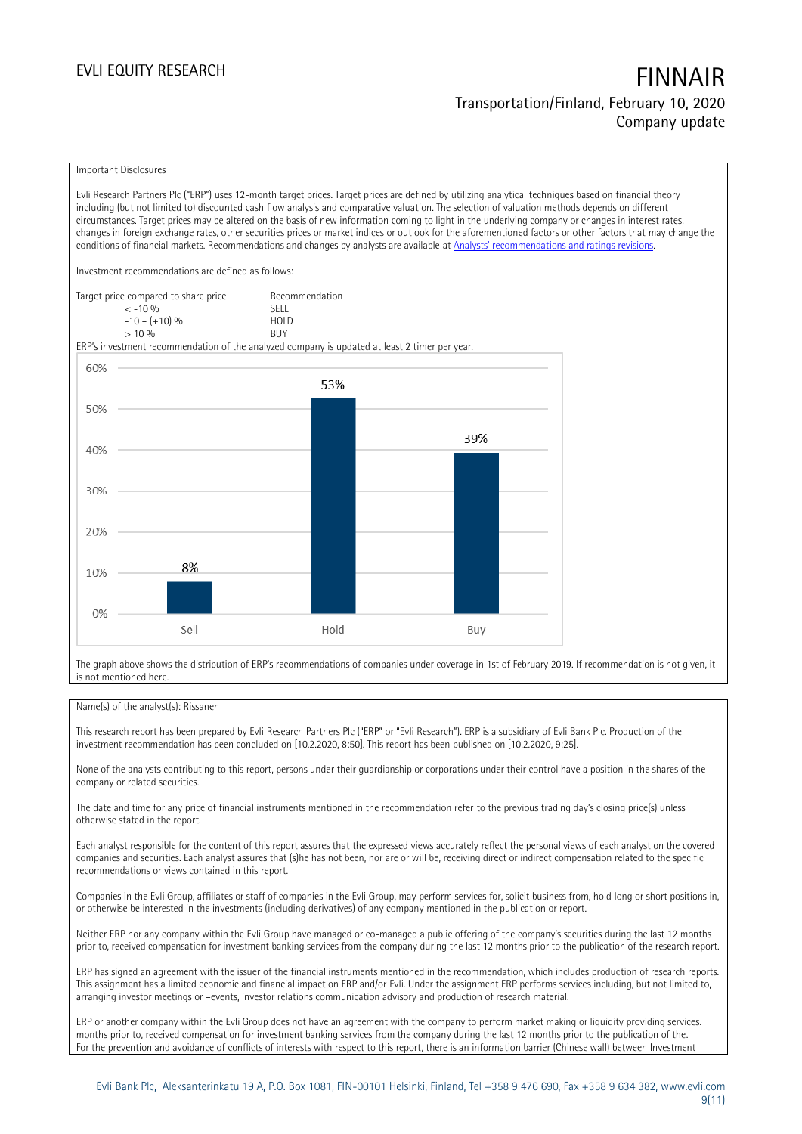### Important Disclosures

Evli Research Partners Plc ("ERP") uses 12-month target prices. Target prices are defined by utilizing analytical techniques based on financial theory including (but not limited to) discounted cash flow analysis and comparative valuation. The selection of valuation methods depends on different circumstances. Target prices may be altered on the basis of new information coming to light in the underlying company or changes in interest rates, changes in foreign exchange rates, other securities prices or market indices or outlook for the aforementioned factors or other factors that may change the conditions of financial markets. Recommendations and changes by analysts are available at [Analysts' recommendations and rati](https://research.evli.com/JasperAllModels.action?authParam=key;461&authParam=x;G3rNagWrtf7K&authType=3)ngs revisions.

Investment recommendations are defined as follows:

| Target price compared to share price | Recommendation                |
|--------------------------------------|-------------------------------|
| $<-10.96$                            | <b>SFII</b>                   |
| $-10 - (+10)$ %                      | H <sub>O</sub> I <sub>D</sub> |
| $> 10\%$                             | <b>BUY</b>                    |

ERP's investment recommendation of the analyzed company is updated at least 2 timer per year.



The graph above shows the distribution of ERP's recommendations of companies under coverage in 1st of February 2019. If recommendation is not given, it is not mentioned here.

### Name(s) of the analyst(s): Rissanen

This research report has been prepared by Evli Research Partners Plc ("ERP" or "Evli Research"). ERP is a subsidiary of Evli Bank Plc. Production of the investment recommendation has been concluded on [10.2.2020, 8:50]. This report has been published on [10.2.2020, 9:25].

None of the analysts contributing to this report, persons under their guardianship or corporations under their control have a position in the shares of the company or related securities.

The date and time for any price of financial instruments mentioned in the recommendation refer to the previous trading day's closing price(s) unless otherwise stated in the report.

Each analyst responsible for the content of this report assures that the expressed views accurately reflect the personal views of each analyst on the covered companies and securities. Each analyst assures that (s)he has not been, nor are or will be, receiving direct or indirect compensation related to the specific recommendations or views contained in this report.

Companies in the Evli Group, affiliates or staff of companies in the Evli Group, may perform services for, solicit business from, hold long or short positions in, or otherwise be interested in the investments (including derivatives) of any company mentioned in the publication or report.

Neither ERP nor any company within the Evli Group have managed or co-managed a public offering of the company's securities during the last 12 months prior to, received compensation for investment banking services from the company during the last 12 months prior to the publication of the research report.

ERP has signed an agreement with the issuer of the financial instruments mentioned in the recommendation, which includes production of research reports. This assignment has a limited economic and financial impact on ERP and/or Evli. Under the assignment ERP performs services including, but not limited to, arranging investor meetings or –events, investor relations communication advisory and production of research material.

ERP or another company within the Evli Group does not have an agreement with the company to perform market making or liquidity providing services. months prior to, received compensation for investment banking services from the company during the last 12 months prior to the publication of the. For the prevention and avoidance of conflicts of interests with respect to this report, there is an information barrier (Chinese wall) between Investment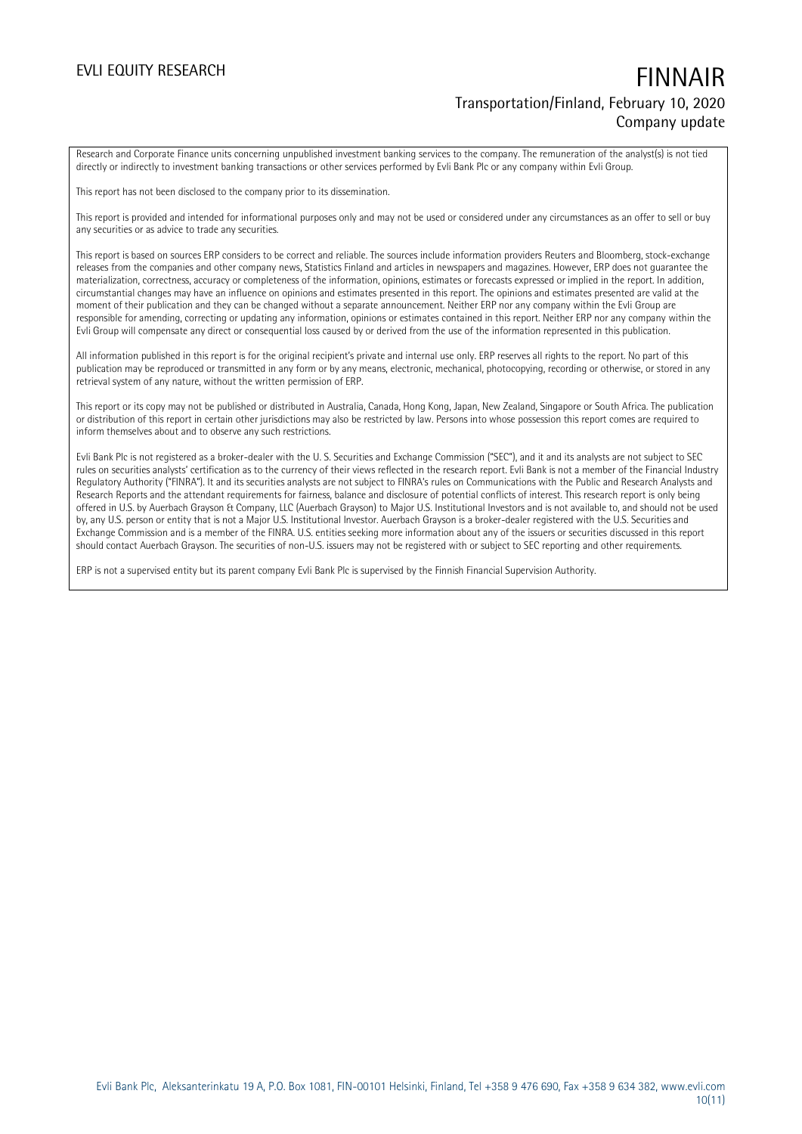Research and Corporate Finance units concerning unpublished investment banking services to the company. The remuneration of the analyst(s) is not tied directly or indirectly to investment banking transactions or other services performed by Evli Bank Plc or any company within Evli Group.

This report has not been disclosed to the company prior to its dissemination.

This report is provided and intended for informational purposes only and may not be used or considered under any circumstances as an offer to sell or buy any securities or as advice to trade any securities.

This report is based on sources ERP considers to be correct and reliable. The sources include information providers Reuters and Bloomberg, stock-exchange releases from the companies and other company news, Statistics Finland and articles in newspapers and magazines. However, ERP does not guarantee the materialization, correctness, accuracy or completeness of the information, opinions, estimates or forecasts expressed or implied in the report. In addition, circumstantial changes may have an influence on opinions and estimates presented in this report. The opinions and estimates presented are valid at the moment of their publication and they can be changed without a separate announcement. Neither ERP nor any company within the Evli Group are responsible for amending, correcting or updating any information, opinions or estimates contained in this report. Neither ERP nor any company within the Evli Group will compensate any direct or consequential loss caused by or derived from the use of the information represented in this publication.

All information published in this report is for the original recipient's private and internal use only. ERP reserves all rights to the report. No part of this publication may be reproduced or transmitted in any form or by any means, electronic, mechanical, photocopying, recording or otherwise, or stored in any retrieval system of any nature, without the written permission of ERP.

This report or its copy may not be published or distributed in Australia, Canada, Hong Kong, Japan, New Zealand, Singapore or South Africa. The publication or distribution of this report in certain other jurisdictions may also be restricted by law. Persons into whose possession this report comes are required to inform themselves about and to observe any such restrictions.

Evli Bank Plc is not registered as a broker-dealer with the U. S. Securities and Exchange Commission ("SEC"), and it and its analysts are not subject to SEC rules on securities analysts' certification as to the currency of their views reflected in the research report. Evli Bank is not a member of the Financial Industry Regulatory Authority ("FINRA"). It and its securities analysts are not subject to FINRA's rules on Communications with the Public and Research Analysts and Research Reports and the attendant requirements for fairness, balance and disclosure of potential conflicts of interest. This research report is only being offered in U.S. by Auerbach Grayson & Company, LLC (Auerbach Grayson) to Major U.S. Institutional Investors and is not available to, and should not be used by, any U.S. person or entity that is not a Major U.S. Institutional Investor. Auerbach Grayson is a broker-dealer registered with the U.S. Securities and Exchange Commission and is a member of the FINRA. U.S. entities seeking more information about any of the issuers or securities discussed in this report should contact Auerbach Grayson. The securities of non-U.S. issuers may not be registered with or subject to SEC reporting and other requirements.

ERP is not a supervised entity but its parent company Evli Bank Plc is supervised by the Finnish Financial Supervision Authority.